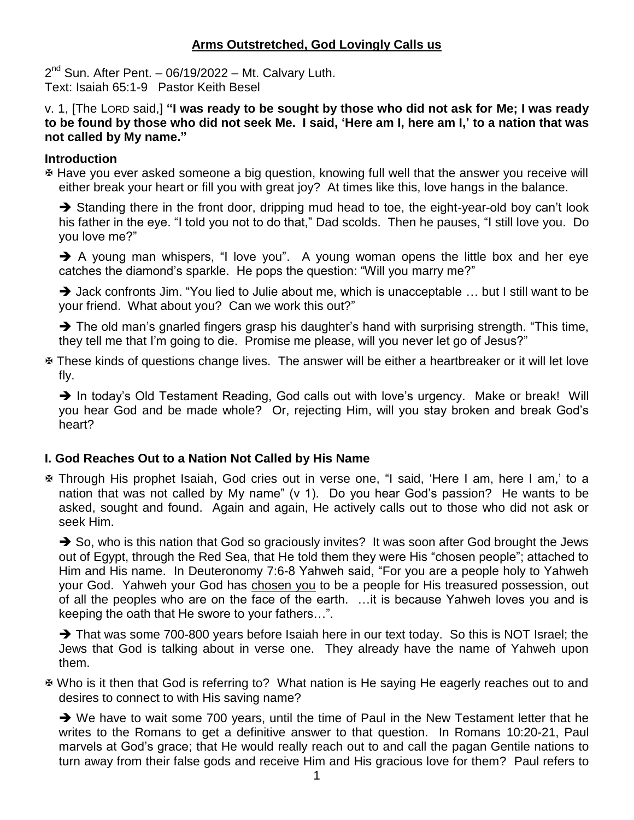# **Arms Outstretched, God Lovingly Calls us**

2<sup>nd</sup> Sun. After Pent. - 06/19/2022 - Mt. Calvary Luth. Text: Isaiah 65:1-9 Pastor Keith Besel

v. 1, [The LORD said,] **"I was ready to be sought by those who did not ask for Me; I was ready to be found by those who did not seek Me. I said, 'Here am I, here am I,' to a nation that was not called by My name."**

#### **Introduction**

 Have you ever asked someone a big question, knowing full well that the answer you receive will either break your heart or fill you with great joy? At times like this, love hangs in the balance.

Standing there in the front door, dripping mud head to toe, the eight-year-old boy can't look his father in the eye. "I told you not to do that," Dad scolds. Then he pauses, "I still love you. Do you love me?"

A young man whispers, "I love you". A young woman opens the little box and her eye catches the diamond's sparkle. He pops the question: "Will you marry me?"

 $\rightarrow$  Jack confronts Jim. "You lied to Julie about me, which is unacceptable ... but I still want to be your friend. What about you? Can we work this out?"

 $\rightarrow$  The old man's gnarled fingers grasp his daughter's hand with surprising strength. "This time, they tell me that I'm going to die. Promise me please, will you never let go of Jesus?"

 These kinds of questions change lives. The answer will be either a heartbreaker or it will let love fly.

→ In today's Old Testament Reading, God calls out with love's urgency. Make or break! Will you hear God and be made whole? Or, rejecting Him, will you stay broken and break God's heart?

#### **I. God Reaches Out to a Nation Not Called by His Name**

 Through His prophet Isaiah, God cries out in verse one, "I said, 'Here I am, here I am,' to a nation that was not called by My name" (v 1). Do you hear God's passion? He wants to be asked, sought and found. Again and again, He actively calls out to those who did not ask or seek Him.

 $\rightarrow$  So, who is this nation that God so graciously invites? It was soon after God brought the Jews out of Egypt, through the Red Sea, that He told them they were His "chosen people"; attached to Him and His name. In Deuteronomy 7:6-8 Yahweh said, "For you are a people holy to Yahweh your God. Yahweh your God has chosen you to be a people for His treasured possession, out of all the peoples who are on the face of the earth. …it is because Yahweh loves you and is keeping the oath that He swore to your fathers…".

That was some 700-800 years before Isaiah here in our text today. So this is NOT Israel; the Jews that God is talking about in verse one. They already have the name of Yahweh upon them.

 Who is it then that God is referring to? What nation is He saying He eagerly reaches out to and desires to connect to with His saving name?

 $\rightarrow$  We have to wait some 700 years, until the time of Paul in the New Testament letter that he writes to the Romans to get a definitive answer to that question. In Romans 10:20-21, Paul marvels at God's grace; that He would really reach out to and call the pagan Gentile nations to turn away from their false gods and receive Him and His gracious love for them? Paul refers to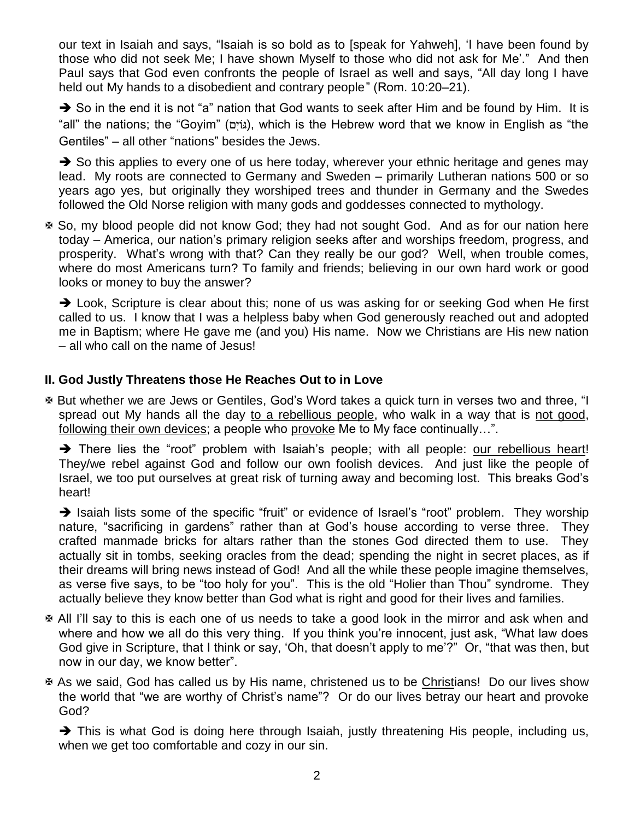our text in Isaiah and says, "Isaiah is so bold as to [speak for Yahweh], 'I have been found by those who did not seek Me; I have shown Myself to those who did not ask for Me'." And then Paul says that God even confronts the people of Israel as well and says, "All day long I have held out My hands to a disobedient and contrary people" (Rom. 10:20–21).

 $\rightarrow$  So in the end it is not "a" nation that God wants to seek after Him and be found by Him. It is "all" the nations; the "Goyim" (גּוֹיָם), which is the Hebrew word that we know in English as "the Gentiles" – all other "nations" besides the Jews.

 $\rightarrow$  So this applies to every one of us here today, wherever your ethnic heritage and genes may lead. My roots are connected to Germany and Sweden – primarily Lutheran nations 500 or so years ago yes, but originally they worshiped trees and thunder in Germany and the Swedes followed the Old Norse religion with many gods and goddesses connected to mythology.

 So, my blood people did not know God; they had not sought God. And as for our nation here today – America, our nation's primary religion seeks after and worships freedom, progress, and prosperity. What's wrong with that? Can they really be our god? Well, when trouble comes, where do most Americans turn? To family and friends; believing in our own hard work or good looks or money to buy the answer?

→ Look, Scripture is clear about this; none of us was asking for or seeking God when He first called to us. I know that I was a helpless baby when God generously reached out and adopted me in Baptism; where He gave me (and you) His name. Now we Christians are His new nation – all who call on the name of Jesus!

# **II. God Justly Threatens those He Reaches Out to in Love**

 But whether we are Jews or Gentiles, God's Word takes a quick turn in verses two and three, "I spread out My hands all the day to a rebellious people, who walk in a way that is not good, following their own devices; a people who provoke Me to My face continually…".

There lies the "root" problem with Isaiah's people; with all people: our rebellious heart! They/we rebel against God and follow our own foolish devices. And just like the people of Israel, we too put ourselves at great risk of turning away and becoming lost. This breaks God's heart!

 $\rightarrow$  Isaiah lists some of the specific "fruit" or evidence of Israel's "root" problem. They worship nature, "sacrificing in gardens" rather than at God's house according to verse three. They crafted manmade bricks for altars rather than the stones God directed them to use. They actually sit in tombs, seeking oracles from the dead; spending the night in secret places, as if their dreams will bring news instead of God! And all the while these people imagine themselves, as verse five says, to be "too holy for you". This is the old "Holier than Thou" syndrome. They actually believe they know better than God what is right and good for their lives and families.

- All I'll say to this is each one of us needs to take a good look in the mirror and ask when and where and how we all do this very thing. If you think you're innocent, just ask, "What law does God give in Scripture, that I think or say, 'Oh, that doesn't apply to me'?" Or, "that was then, but now in our day, we know better".
- **E** As we said, God has called us by His name, christened us to be Christians! Do our lives show the world that "we are worthy of Christ's name"? Or do our lives betray our heart and provoke God?

 $\rightarrow$  This is what God is doing here through Isaiah, justly threatening His people, including us, when we get too comfortable and cozy in our sin.